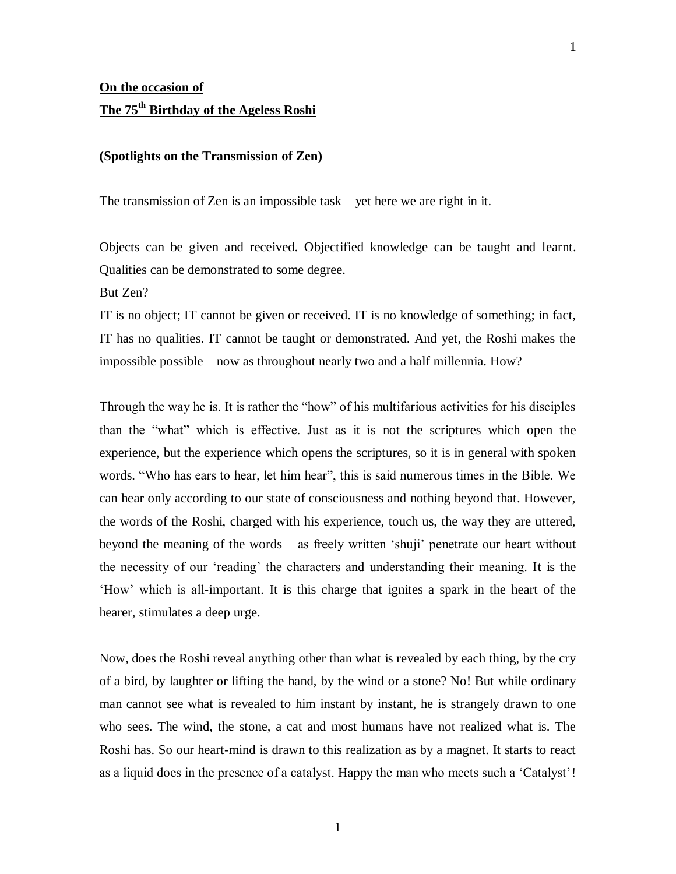## **(Spotlights on the Transmission of Zen)**

The transmission of Zen is an impossible task – yet here we are right in it.

Objects can be given and received. Objectified knowledge can be taught and learnt. Qualities can be demonstrated to some degree.

But Zen?

IT is no object; IT cannot be given or received. IT is no knowledge of something; in fact, IT has no qualities. IT cannot be taught or demonstrated. And yet, the Roshi makes the impossible possible – now as throughout nearly two and a half millennia. How?

Through the way he is. It is rather the "how" of his multifarious activities for his disciples than the "what" which is effective. Just as it is not the scriptures which open the experience, but the experience which opens the scriptures, so it is in general with spoken words. "Who has ears to hear, let him hear", this is said numerous times in the Bible. We can hear only according to our state of consciousness and nothing beyond that. However, the words of the Roshi, charged with his experience, touch us, the way they are uttered, beyond the meaning of the words – as freely written 'shuji' penetrate our heart without the necessity of our 'reading' the characters and understanding their meaning. It is the 'How' which is all-important. It is this charge that ignites a spark in the heart of the hearer, stimulates a deep urge.

Now, does the Roshi reveal anything other than what is revealed by each thing, by the cry of a bird, by laughter or lifting the hand, by the wind or a stone? No! But while ordinary man cannot see what is revealed to him instant by instant, he is strangely drawn to one who sees. The wind, the stone, a cat and most humans have not realized what is. The Roshi has. So our heart-mind is drawn to this realization as by a magnet. It starts to react as a liquid does in the presence of a catalyst. Happy the man who meets such a 'Catalyst'!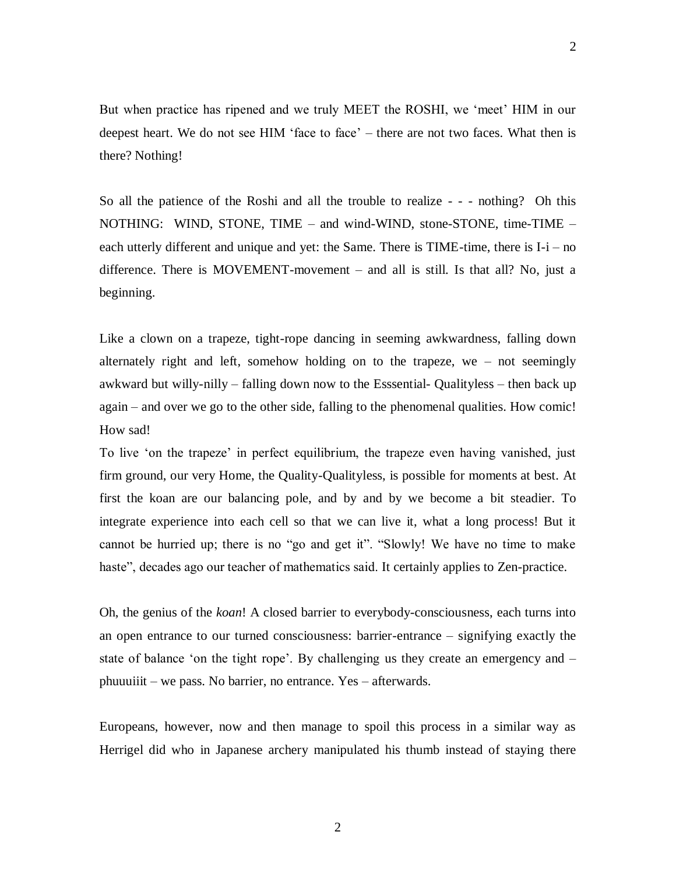But when practice has ripened and we truly MEET the ROSHI, we 'meet' HIM in our deepest heart. We do not see HIM 'face to face' – there are not two faces. What then is there? Nothing!

So all the patience of the Roshi and all the trouble to realize - - - nothing? Oh this NOTHING: WIND, STONE, TIME – and wind-WIND, stone-STONE, time-TIME – each utterly different and unique and yet: the Same. There is TIME-time, there is I-i – no difference. There is MOVEMENT-movement – and all is still. Is that all? No, just a beginning.

Like a clown on a trapeze, tight-rope dancing in seeming awkwardness, falling down alternately right and left, somehow holding on to the trapeze, we – not seemingly awkward but willy-nilly – falling down now to the Esssential- Qualityless – then back up again – and over we go to the other side, falling to the phenomenal qualities. How comic! How sad!

To live 'on the trapeze' in perfect equilibrium, the trapeze even having vanished, just firm ground, our very Home, the Quality-Qualityless, is possible for moments at best. At first the koan are our balancing pole, and by and by we become a bit steadier. To integrate experience into each cell so that we can live it, what a long process! But it cannot be hurried up; there is no "go and get it". "Slowly! We have no time to make haste", decades ago our teacher of mathematics said. It certainly applies to Zen-practice.

Oh, the genius of the *koan*! A closed barrier to everybody-consciousness, each turns into an open entrance to our turned consciousness: barrier-entrance – signifying exactly the state of balance 'on the tight rope'. By challenging us they create an emergency and – phuuuiiit – we pass. No barrier, no entrance. Yes – afterwards.

Europeans, however, now and then manage to spoil this process in a similar way as Herrigel did who in Japanese archery manipulated his thumb instead of staying there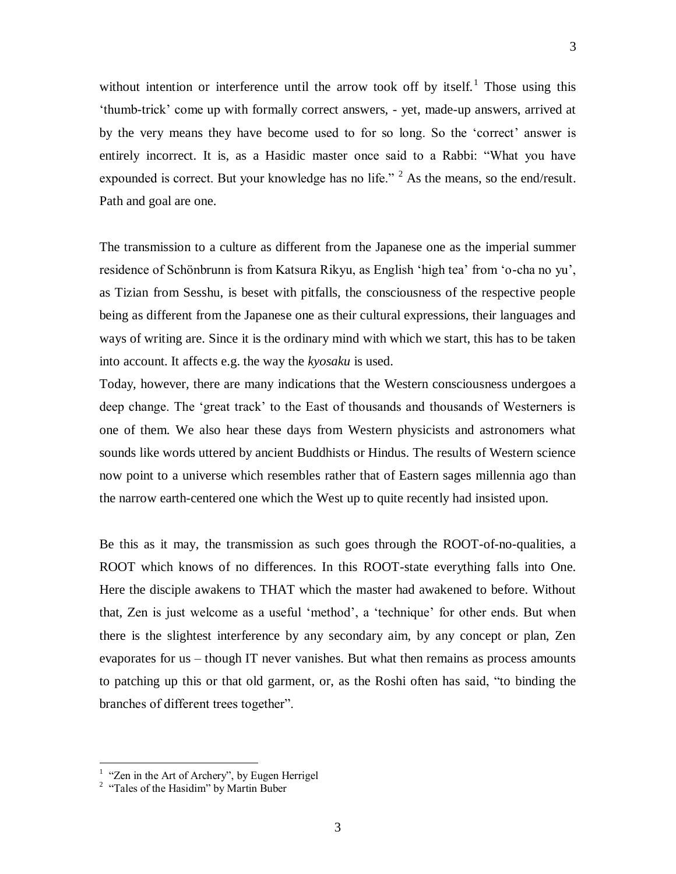without intention or interference until the arrow took off by itself.<sup>1</sup> Those using this 'thumb-trick' come up with formally correct answers, - yet, made-up answers, arrived at by the very means they have become used to for so long. So the 'correct' answer is entirely incorrect. It is, as a Hasidic master once said to a Rabbi: "What you have expounded is correct. But your knowledge has no life."  $2^2$  As the means, so the end/result. Path and goal are one.

The transmission to a culture as different from the Japanese one as the imperial summer residence of Schönbrunn is from Katsura Rikyu, as English 'high tea' from 'o-cha no yu', as Tizian from Sesshu, is beset with pitfalls, the consciousness of the respective people being as different from the Japanese one as their cultural expressions, their languages and ways of writing are. Since it is the ordinary mind with which we start, this has to be taken into account. It affects e.g. the way the *kyosaku* is used.

Today, however, there are many indications that the Western consciousness undergoes a deep change. The 'great track' to the East of thousands and thousands of Westerners is one of them. We also hear these days from Western physicists and astronomers what sounds like words uttered by ancient Buddhists or Hindus. The results of Western science now point to a universe which resembles rather that of Eastern sages millennia ago than the narrow earth-centered one which the West up to quite recently had insisted upon.

Be this as it may, the transmission as such goes through the ROOT-of-no-qualities, a ROOT which knows of no differences. In this ROOT-state everything falls into One. Here the disciple awakens to THAT which the master had awakened to before. Without that, Zen is just welcome as a useful 'method', a 'technique' for other ends. But when there is the slightest interference by any secondary aim, by any concept or plan, Zen evaporates for us – though IT never vanishes. But what then remains as process amounts to patching up this or that old garment, or, as the Roshi often has said, "to binding the branches of different trees together".

 $\overline{a}$ 

<sup>&</sup>lt;sup>1</sup> "Zen in the Art of Archery", by Eugen Herrigel

<sup>&</sup>lt;sup>2</sup> "Tales of the Hasidim" by Martin Buber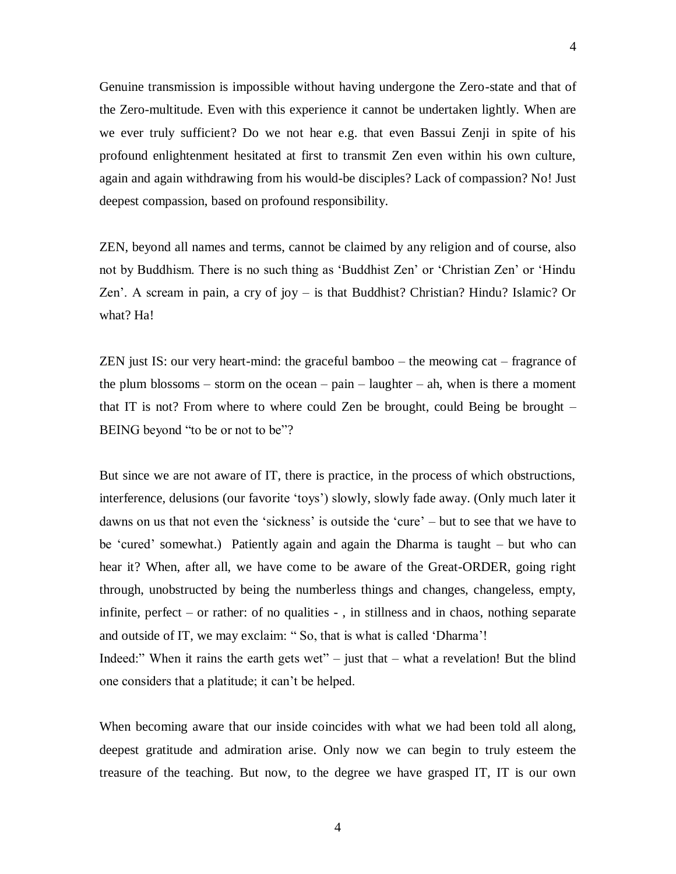we ever truly sufficient? Do we not hear e.g. that even Bassui Zenji in spite of his profound enlightenment hesitated at first to transmit Zen even within his own culture, again and again withdrawing from his would-be disciples? Lack of compassion? No! Just deepest compassion, based on profound responsibility.

ZEN, beyond all names and terms, cannot be claimed by any religion and of course, also not by Buddhism. There is no such thing as 'Buddhist Zen' or 'Christian Zen' or 'Hindu Zen'. A scream in pain, a cry of joy – is that Buddhist? Christian? Hindu? Islamic? Or what? Ha!

ZEN just IS: our very heart-mind: the graceful bamboo – the meowing cat – fragrance of the plum blossoms – storm on the ocean – pain – laughter – ah, when is there a moment that IT is not? From where to where could Zen be brought, could Being be brought – BEING beyond "to be or not to be"?

But since we are not aware of IT, there is practice, in the process of which obstructions, interference, delusions (our favorite 'toys') slowly, slowly fade away. (Only much later it dawns on us that not even the 'sickness' is outside the 'cure' – but to see that we have to be 'cured' somewhat.) Patiently again and again the Dharma is taught – but who can hear it? When, after all, we have come to be aware of the Great-ORDER, going right through, unobstructed by being the numberless things and changes, changeless, empty, infinite, perfect – or rather: of no qualities - , in stillness and in chaos, nothing separate and outside of IT, we may exclaim: " So, that is what is called 'Dharma'! Indeed:" When it rains the earth gets wet" – just that  $-$  what a revelation! But the blind one considers that a platitude; it can't be helped.

When becoming aware that our inside coincides with what we had been told all along, deepest gratitude and admiration arise. Only now we can begin to truly esteem the treasure of the teaching. But now, to the degree we have grasped IT, IT is our own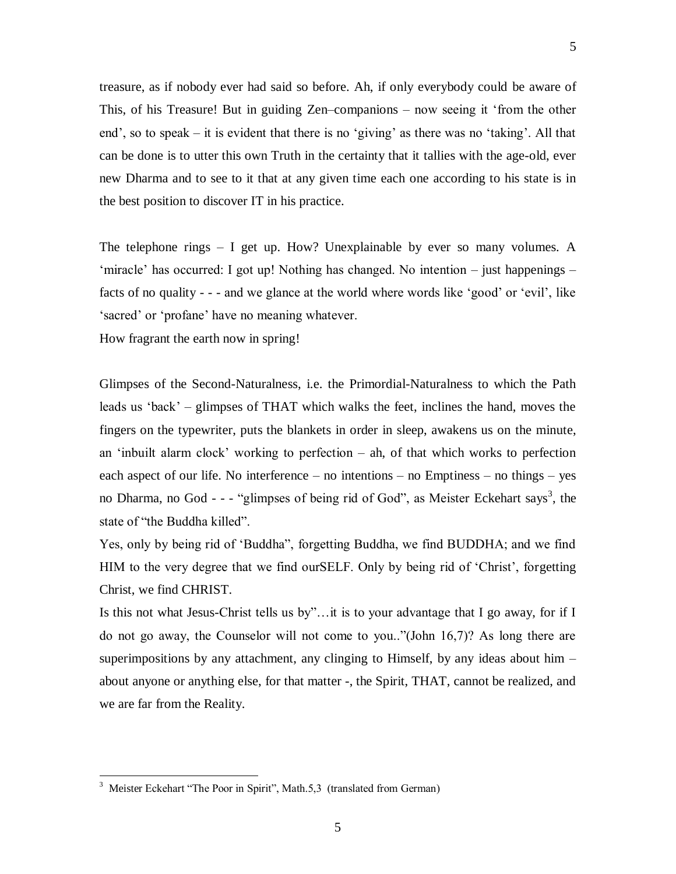treasure, as if nobody ever had said so before. Ah, if only everybody could be aware of This, of his Treasure! But in guiding Zen–companions – now seeing it 'from the other end', so to speak – it is evident that there is no 'giving' as there was no 'taking'. All that can be done is to utter this own Truth in the certainty that it tallies with the age-old, ever new Dharma and to see to it that at any given time each one according to his state is in the best position to discover IT in his practice.

The telephone rings – I get up. How? Unexplainable by ever so many volumes. A 'miracle' has occurred: I got up! Nothing has changed. No intention – just happenings – facts of no quality - - - and we glance at the world where words like 'good' or 'evil', like 'sacred' or 'profane' have no meaning whatever.

How fragrant the earth now in spring!

Glimpses of the Second-Naturalness, i.e. the Primordial-Naturalness to which the Path leads us 'back' – glimpses of THAT which walks the feet, inclines the hand, moves the fingers on the typewriter, puts the blankets in order in sleep, awakens us on the minute, an 'inbuilt alarm clock' working to perfection – ah, of that which works to perfection each aspect of our life. No interference – no intentions – no Emptiness – no things – yes no Dharma, no God - - - "glimpses of being rid of God", as Meister Eckehart says<sup>3</sup>, the state of "the Buddha killed".

Yes, only by being rid of 'Buddha", forgetting Buddha, we find BUDDHA; and we find HIM to the very degree that we find ourSELF. Only by being rid of 'Christ', forgetting Christ, we find CHRIST.

Is this not what Jesus-Christ tells us by"…it is to your advantage that I go away, for if I do not go away, the Counselor will not come to you.."(John 16,7)? As long there are superimpositions by any attachment, any clinging to Himself, by any ideas about him  $$ about anyone or anything else, for that matter -, the Spirit, THAT, cannot be realized, and we are far from the Reality.

 $\overline{a}$ 

<sup>&</sup>lt;sup>3</sup> Meister Eckehart "The Poor in Spirit", Math.5,3 (translated from German)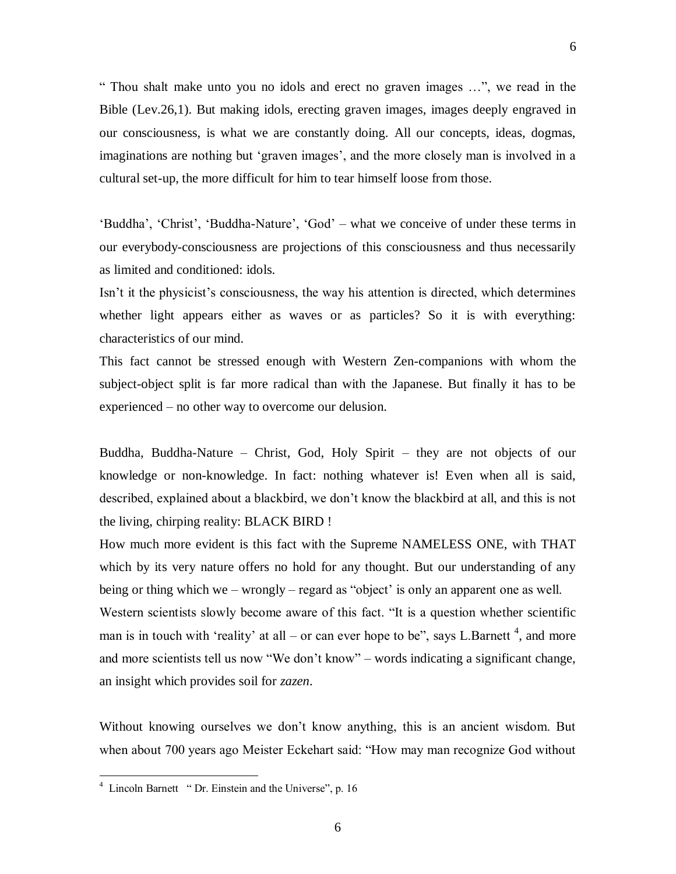" Thou shalt make unto you no idols and erect no graven images …", we read in the Bible (Lev.26,1). But making idols, erecting graven images, images deeply engraved in our consciousness, is what we are constantly doing. All our concepts, ideas, dogmas, imaginations are nothing but 'graven images', and the more closely man is involved in a cultural set-up, the more difficult for him to tear himself loose from those.

'Buddha', 'Christ', 'Buddha-Nature', 'God' – what we conceive of under these terms in our everybody-consciousness are projections of this consciousness and thus necessarily as limited and conditioned: idols.

Isn't it the physicist's consciousness, the way his attention is directed, which determines whether light appears either as waves or as particles? So it is with everything: characteristics of our mind.

This fact cannot be stressed enough with Western Zen-companions with whom the subject-object split is far more radical than with the Japanese. But finally it has to be experienced – no other way to overcome our delusion.

Buddha, Buddha-Nature – Christ, God, Holy Spirit – they are not objects of our knowledge or non-knowledge. In fact: nothing whatever is! Even when all is said, described, explained about a blackbird, we don't know the blackbird at all, and this is not the living, chirping reality: BLACK BIRD !

How much more evident is this fact with the Supreme NAMELESS ONE, with THAT which by its very nature offers no hold for any thought. But our understanding of any being or thing which we – wrongly – regard as "object' is only an apparent one as well. Western scientists slowly become aware of this fact. "It is a question whether scientific man is in touch with 'reality' at all – or can ever hope to be", says L.Barnett<sup>4</sup>, and more and more scientists tell us now "We don't know" – words indicating a significant change, an insight which provides soil for *zazen*.

Without knowing ourselves we don't know anything, this is an ancient wisdom. But when about 700 years ago Meister Eckehart said: "How may man recognize God without

 $\overline{a}$ 

<sup>&</sup>lt;sup>4</sup> Lincoln Barnett " Dr. Einstein and the Universe", p. 16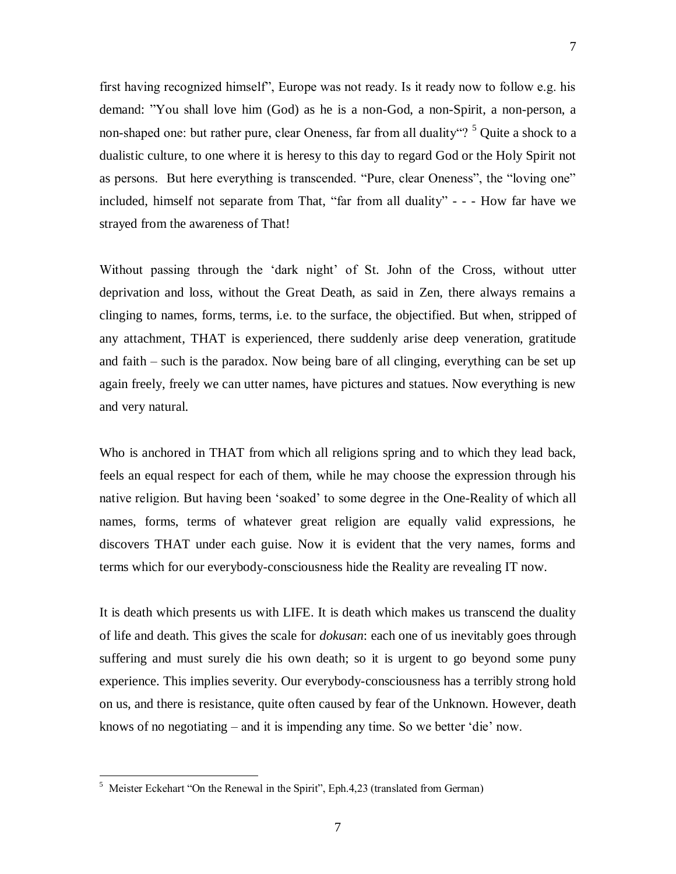first having recognized himself", Europe was not ready. Is it ready now to follow e.g. his demand: "You shall love him (God) as he is a non-God, a non-Spirit, a non-person, a non-shaped one: but rather pure, clear Oneness, far from all duality"? <sup>5</sup> Quite a shock to a dualistic culture, to one where it is heresy to this day to regard God or the Holy Spirit not as persons. But here everything is transcended. "Pure, clear Oneness", the "loving one" included, himself not separate from That, "far from all duality" - - - How far have we strayed from the awareness of That!

Without passing through the 'dark night' of St. John of the Cross, without utter deprivation and loss, without the Great Death, as said in Zen, there always remains a clinging to names, forms, terms, i.e. to the surface, the objectified. But when, stripped of any attachment, THAT is experienced, there suddenly arise deep veneration, gratitude and faith – such is the paradox. Now being bare of all clinging, everything can be set up again freely, freely we can utter names, have pictures and statues. Now everything is new and very natural.

Who is anchored in THAT from which all religions spring and to which they lead back, feels an equal respect for each of them, while he may choose the expression through his native religion. But having been 'soaked' to some degree in the One-Reality of which all names, forms, terms of whatever great religion are equally valid expressions, he discovers THAT under each guise. Now it is evident that the very names, forms and terms which for our everybody-consciousness hide the Reality are revealing IT now.

It is death which presents us with LIFE. It is death which makes us transcend the duality of life and death. This gives the scale for *dokusan*: each one of us inevitably goes through suffering and must surely die his own death; so it is urgent to go beyond some puny experience. This implies severity. Our everybody-consciousness has a terribly strong hold on us, and there is resistance, quite often caused by fear of the Unknown. However, death knows of no negotiating – and it is impending any time. So we better 'die' now.

 5 Meister Eckehart "On the Renewal in the Spirit", Eph.4,23 (translated from German)